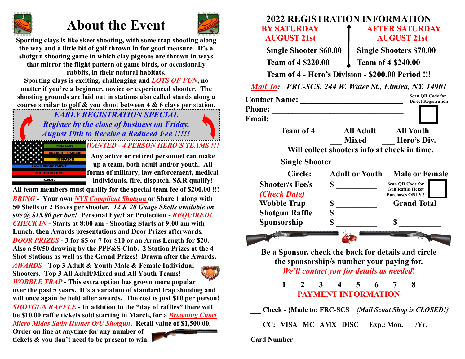# **About the Event**



**Sporting clays is like skeet shooting, with some trap shooting along the way and a little bit of golf thrown in for good measure. It's a shotgun shooting game in which clay pigeons are thrown in ways that mirror the flight pattern of game birds, or occasionally rabbits, in their natural habitats.**

**Sporting clays is exciting, challenging and** *LOTS OF FUN***, no matter if you're a beginner, novice or experienced shooter. The shooting grounds are laid out in stations also called stands along a course similar to golf & you shoot between 4 & 6 clays per station.** 

> *EARLY REGISTRATION SPECIAL Register by the close of business on Friday, August 19th to Receive a Reduced Fee !!!!!*



E.M.S.

**Any active or retired personnel can make up a team, both adult and/or youth. All forms of military, law enforcement, medical individuals, fire, dispatch, S&R qualify!**

*BRING* **- Your own** *NYS Compliant Shotgun* **or Share 1 along with 50 Shells or 2 Boxes per shooter.** *12 & 20 Gauge Shells available on site @ \$15.00 per box!* **Personal Eye/Ear Protection -** *REQUIRED! DOOR PRIZES* **- 3 for \$5 or 7 for \$10 or an Arms Length for \$20. Also a 50/50 drawing by the PPF&S Club. 2 Station Prizes at the 4- Shot Stations as well as the Grand Prizes! Drawn after the Awards.** *CHECK IN* **- Starts at 8:00 am - Shooting Starts at 9:00 am with Lunch, then Awards presentations and Door Prizes afterwards. All team members must qualify for the special team fee of \$200.00 !!!**

*AWARDS* **- Top 3 Adult & Youth Male & Female Individual AUSTRIA Shooters. Top 3 All Adult/Mixed and All Youth Teams!**  *WOBBLE TRAP* **- This extra option has grown more popular over the past 5 years. It's a variation of standard trap shooting and will once again be held after awards. The cost is just \$10 per person!** *SHOTGUN RAFFLE* **- In addition to the "day of raffles" there will be \$10.00 raffle tickets sold starting in March, for a** *Browning Citori Micro Midas Satin Hunter O/U Shotgun***. Retail value of \$1,500.00. Order on line at anytime for any number of tickets & you don't need to be present to win.**

# **2022 REGISTRATION INFORMATION BY SATURDAY CONSERVATION POSTER SATURDAY AUGUST 21st AUGUST 21st**

**Team of 4 \$220.00 l Team of 4 \$240.00** 

**Single Shooter \$60.00 | Single Shooters \$70.00** 

**Team of 4 - Hero's Division - \$200.00 Period !!!**

*Mail To: FRC-SCS, 244 W. Water St., Elmira, NY, 14901*

|                                        |                                                                                                                                              | <b>Scan QR Code for</b><br><b>Direct Registration</b>                         |
|----------------------------------------|----------------------------------------------------------------------------------------------------------------------------------------------|-------------------------------------------------------------------------------|
| <b>Email:</b>                          |                                                                                                                                              |                                                                               |
| <b>Team of 4</b>                       | <u> 2001 - Johann Johann Storm (d. 1982)</u><br>All Adult All Youth<br><b>Mixed</b>                                                          | Hero's Div.                                                                   |
|                                        | Will collect shooters info at check in time.                                                                                                 |                                                                               |
| <b>Single Shooter</b>                  |                                                                                                                                              |                                                                               |
| Circle:                                | <b>Adult or Youth</b>                                                                                                                        | <b>Male or Female</b>                                                         |
| <b>Shooter/s Fee/s</b><br>(Check Date) | $\sim$                                                                                                                                       | <b>Scan OR Code for</b><br><b>Gun Raffle Ticket</b><br><b>Purchases ONLY!</b> |
| <b>Wobble Trap</b>                     | $\mathbb{S}$                                                                                                                                 | <b>Grand Total</b>                                                            |
| <b>Shotgun Raffle</b>                  | $S_{-}$                                                                                                                                      |                                                                               |
| Sponsorship                            | $\mathbf S$                                                                                                                                  | S                                                                             |
|                                        |                                                                                                                                              |                                                                               |
|                                        | Be a Sponsor, check the back for details and circle<br>the sponsorship/s number your paying for.<br>We'll contact you for details as needed! |                                                                               |
| $\mathbf{1}$<br>$2^{\circ}$            | 3 <sup>1</sup><br>$4 \quad 5$<br>6<br><b>PAYMENT INFORMATION</b>                                                                             | 8<br>7                                                                        |
|                                        |                                                                                                                                              | Check - {Made to: FRC-SCS {Mall Scout Shop is CLOSED!}                        |
|                                        | CC: VISA MC AMX DISC Exp.: Mon. /Yr.                                                                                                         |                                                                               |
| <b>Card Number:</b>                    |                                                                                                                                              |                                                                               |